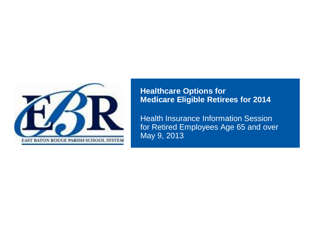

### **Healthcare Options for Medicare Eligible Retirees for 2014**

Health Insurance Information Session for Retired Employees Age 65 and over May 9, 2013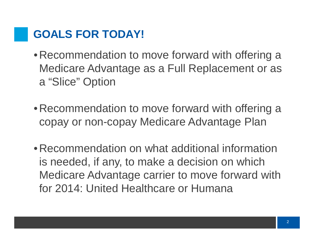## **GOALS FOR TODAY!**

- •Recommendation to move forward with offering a Medicare Advantage as a Full Replacement or as a "Slice" Option
- •Recommendation to move forward with offering a copay or non-copay Medicare Advantage Plan
- •Recommendation on what additional information is needed, if any, to make a decision on which Medicare Advantage carrier to move forward with for 2014: United Healthcare or Humana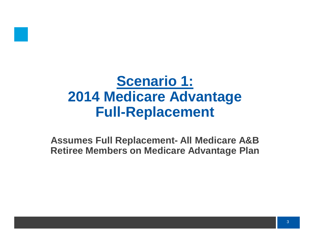

## **Scenario 1: 2014 Medicare Advantage Full-Replacement**

**Assumes Full Replacement- All Medicare A&B Retiree Members on Medicare Advantage Plan**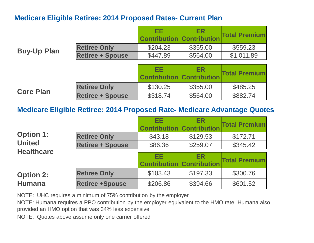### **Medicare Eligible Retiree: 2014 Proposed Rates- Current Plan**

|                    |                         | EЕ<br><b>Contribution Contribution</b> | <b>ER</b> | <b>Total Premium</b> |
|--------------------|-------------------------|----------------------------------------|-----------|----------------------|
|                    | <b>Retiree Only</b>     | \$204.23                               | \$355.00  | \$559.23             |
| <b>Buy-Up Plan</b> | <b>Retiree + Spouse</b> | \$447.89                               | \$564.00  | \$1,011.89           |
|                    |                         |                                        |           |                      |
|                    |                         | EE                                     | <b>ER</b> |                      |
|                    |                         | <b>Contribution Contribution</b>       |           | <b>Total Premium</b> |

| <b>Core Plan</b> | <b>Retiree Only</b>     | \$130.25 | \$355,00 | \$485.25 |
|------------------|-------------------------|----------|----------|----------|
|                  | <b>Retiree + Spouse</b> | \$318.74 | \$564.00 | \$882.74 |

### **Medicare Eligible Retiree: 2014 Proposed Rate- Medicare Advantage Quotes**

|                   |                         | EE<br><b>Contribution Contribution</b> | <b>ER</b> | <b>Total Premium</b> |
|-------------------|-------------------------|----------------------------------------|-----------|----------------------|
| <b>Option 1:</b>  | <b>Retiree Only</b>     | \$43.18                                | \$129.53  | \$172.71             |
| <b>United</b>     | <b>Retiree + Spouse</b> | \$86.36                                | \$259.07  | \$345.42             |
| <b>Healthcare</b> |                         | EE<br><b>Contribution Contribution</b> | <b>ER</b> | <b>Total Premium</b> |
| <b>Option 2:</b>  | <b>Retiree Only</b>     | \$103.43                               | \$197.33  | \$300.76             |
| <b>Humana</b>     | <b>Retiree +Spouse</b>  | \$206.86                               | \$394.66  | \$601.52             |

NOTE: UHC requires a minimum of 75% contribution by the employer

NOTE: Humana requires a PPO contribution by the employer equivalent to the HMO rate. Humana also provided an HMO option that was 34% less expensive

NOTE: Quotes above assume only one carrier offered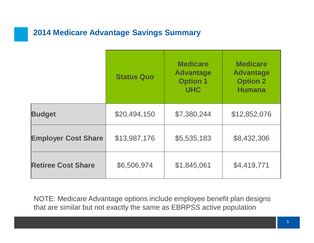## **2014 Medicare Advantage Savings Summary**

|                            | <b>Status Quo</b> | <b>Medicare</b><br><b>Advantage</b><br><b>Option 1</b><br><b>UHC</b> | <b>Medicare</b><br><b>Advantage</b><br><b>Option 2</b><br><b>Humana</b> |
|----------------------------|-------------------|----------------------------------------------------------------------|-------------------------------------------------------------------------|
| <b>Budget</b>              | \$20,494,150      | \$7,380,244                                                          | \$12,852,076                                                            |
| <b>Employer Cost Share</b> | \$13,987,176      | \$5,535,183                                                          | \$8,432,306                                                             |
| <b>Retiree Cost Share</b>  | \$6,506,974       | \$1,845,061                                                          | \$4,419,771                                                             |

NOTE: Medicare Advantage options include employee benefit plan designs that are similar but not exactly the same as EBRPSS active population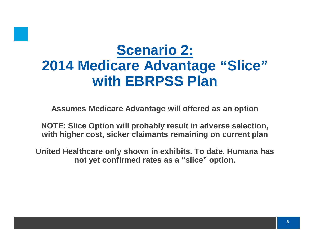# **Scenario 2: 2014 Medicare Advantage "Slice" with EBRPSS Plan**

**Assumes Medicare Advantage will offered as an option**

**NOTE: Slice Option will probably result in adverse selection, with higher cost, sicker claimants remaining on current plan**

**United Healthcare only shown in exhibits. To date, Humana has not yet confirmed rates as a "slice" option.**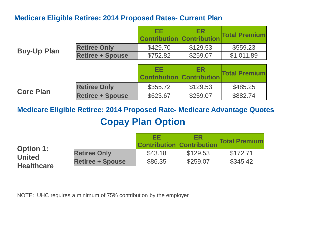#### **Medicare Eligible Retiree: 2014 Proposed Rates- Current Plan**

|                    |                         | EЕ<br><b>Contribution Contribution</b> | <b>ER</b> | <b>Total Premium</b> |
|--------------------|-------------------------|----------------------------------------|-----------|----------------------|
| <b>Buy-Up Plan</b> | <b>Retiree Only</b>     | \$429.70                               | \$129.53  | \$559.23             |
|                    | <b>Retiree + Spouse</b> | \$752.82                               | \$259.07  | \$1,011.89           |
|                    |                         |                                        |           |                      |
|                    |                         | EE                                     | <b>ER</b> | <b>Total Premium</b> |
|                    |                         | <b>Contribution Contribution</b>       |           |                      |
| <b>Core Plan</b>   | <b>Retiree Only</b>     | \$355.72                               | \$129.53  | \$485.25             |

**Medicare Eligible Retiree: 2014 Proposed Rate- Medicare Advantage Quotes Copay Plan Option**

|                                   |                         | EЕ<br><b>Contribution Contribution</b> | ER       | <b>Total Premium</b> |
|-----------------------------------|-------------------------|----------------------------------------|----------|----------------------|
| <b>Option 1:</b><br><b>United</b> | <b>Retiree Only</b>     | \$43.18                                | \$129.53 | \$172.71             |
|                                   | <b>Retiree + Spouse</b> | \$86.35                                | \$259.07 | \$345.42             |
| <b>Healthcare</b>                 |                         |                                        |          |                      |

NOTE: UHC requires a minimum of 75% contribution by the employer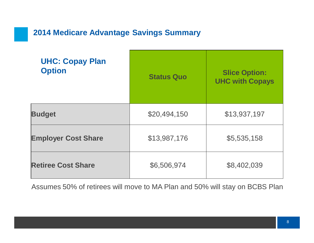## **2014 Medicare Advantage Savings Summary**

| <b>UHC: Copay Plan</b><br><b>Option</b> | <b>Status Quo</b> | <b>Slice Option:</b><br><b>UHC with Copays</b> |
|-----------------------------------------|-------------------|------------------------------------------------|
| <b>Budget</b>                           | \$20,494,150      | \$13,937,197                                   |
| <b>Employer Cost Share</b>              | \$13,987,176      | \$5,535,158                                    |
| <b>Retiree Cost Share</b>               | \$6,506,974       | \$8,402,039                                    |

Assumes 50% of retirees will move to MA Plan and 50% will stay on BCBS Plan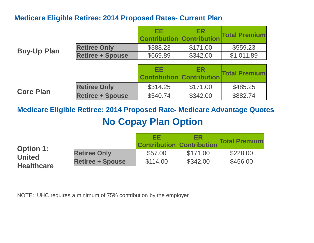### **Medicare Eligible Retiree: 2014 Proposed Rates- Current Plan**

|                    |                         | EЕ<br><b>Contribution Contribution</b> | <b>ER</b> | <b>Total Premium</b> |
|--------------------|-------------------------|----------------------------------------|-----------|----------------------|
| <b>Buy-Up Plan</b> | <b>Retiree Only</b>     | \$388.23                               | \$171.00  | \$559.23             |
|                    | <b>Retiree + Spouse</b> | \$669.89                               | \$342.00  | \$1,011.89           |
|                    |                         |                                        |           |                      |
|                    |                         | EE<br><b>Contribution Contribution</b> | ER.       | <b>Total Premium</b> |
|                    |                         |                                        |           |                      |
| <b>Core Plan</b>   | <b>Retiree Only</b>     | \$314.25                               | \$171.00  | \$485.25             |

**Medicare Eligible Retiree: 2014 Proposed Rate- Medicare Advantage Quotes No Copay Plan Option**

|                                    |                         | EЕ<br><b>Contribution Contribution</b> | ER       | <b>Total Premium</b> |
|------------------------------------|-------------------------|----------------------------------------|----------|----------------------|
| <b>Option 1:</b>                   | <b>Retiree Only</b>     | \$57.00                                | \$171.00 | \$228.00             |
| <b>United</b><br><b>Healthcare</b> | <b>Retiree + Spouse</b> | \$114.00                               | \$342.00 | \$456.00             |
|                                    |                         |                                        |          |                      |

NOTE: UHC requires a minimum of 75% contribution by the employer